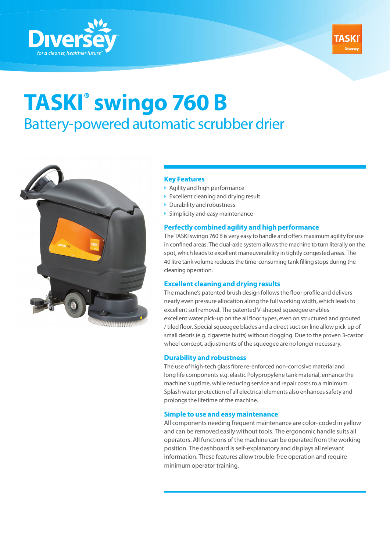



# **TASKI® swingo 760 B**  Battery-powered automatic scrubber drier



### **Key Features**

- Agility and high performance
- $\triangleright$  Excellent cleaning and drying result
- ▶ Durability and robustness
- $\triangleright$  Simplicity and easy maintenance

### **Perfectly combined agility and high performance**

The TASKI swingo 760 B is very easy to handle and offers maximum agility for use in confined areas. The dual-axle system allows the machine to turn literally on the spot, which leads to excellent maneuverability in tightly congested areas. The 40 litre tank volume reduces the time-consuming tank filling stops during the cleaning operation.

### **Excellent cleaning and drying results**

The machine's patented brush design follows the floor profile and delivers nearly even pressure allocation along the full working width, which leads to excellent soil removal. The patented V-shaped squeegee enables excellent water pick-up on the all floor types, even on structured and grouted / tiled floor. Special squeegee blades and a direct suction line allow pick-up of small debris (e.g. cigarette butts) without clogging. Due to the proven 3-castor wheel concept, adjustments of the squeegee are no longer necessary.

### **Durability and robustness**

The use of high-tech glass fibre re-enforced non-corrosive material and long life components e.g. elastic Polypropylene tank material, enhance the machine's uptime, while reducing service and repair costs to a minimum. Splash water protection of all electrical elements also enhances safety and prolongs the lifetime of the machine.

### **Simple to use and easy maintenance**

All components needing frequent maintenance are color- coded in yellow and can be removed easily without tools. The ergonomic handle suits all operators. All functions of the machine can be operated from the working position. The dashboard is self-explanatory and displays all relevant information. These features allow trouble-free operation and require minimum operator training.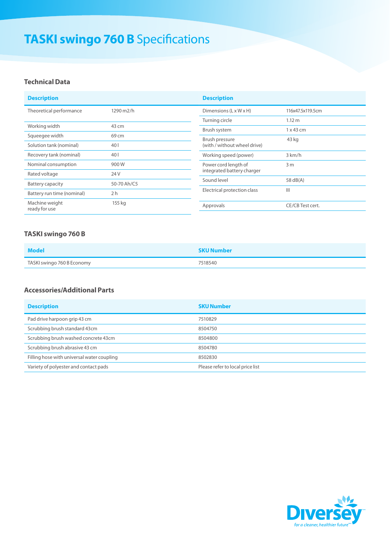# **TASKI swingo 760 B** Specifications

### **Technical Data**

| <b>Description</b>              |                 | <b>Description</b>                                                                                                                                 |                   |
|---------------------------------|-----------------|----------------------------------------------------------------------------------------------------------------------------------------------------|-------------------|
| Theoretical performance         | 1290 m2/h       | Dimensions $(L \times W \times H)$                                                                                                                 | 116x47.5x119.5cm  |
|                                 |                 | Turning circle                                                                                                                                     | 1.12 <sub>m</sub> |
| Working width                   | 43 cm           | Brush system                                                                                                                                       | $1 \times 43$ cm  |
| Squeeqee width                  | 69 cm           | Brush pressure<br>(with / without wheel drive)                                                                                                     | 43 kg             |
| Solution tank (nominal)         | 40 <sub>l</sub> |                                                                                                                                                    |                   |
| Recovery tank (nominal)         | 40 <sub>1</sub> | Working speed (power)                                                                                                                              | 3 km/h            |
| Nominal consumption             | 900W            | Power cord length of<br>3 <sub>m</sub><br>integrated battery charger<br>Sound level<br>58 $dB(A)$<br>$\mathbf{III}$<br>Electrical protection class |                   |
| Rated voltage                   | 24 V            |                                                                                                                                                    |                   |
| Battery capacity                | 50-70 Ah/C5     |                                                                                                                                                    |                   |
| Battery run time (nominal)      | 2 <sub>h</sub>  |                                                                                                                                                    |                   |
| Machine weight<br>ready for use | 155 kg          | Approvals                                                                                                                                          | CE/CB Test cert.  |

# **TASKI swingo 760 B**

| Model                      | <b>SKU Number</b> |
|----------------------------|-------------------|
| TASKI swingo 760 B Economy | 7518540           |

## **Accessories/Additional Parts**

| <b>Description</b>                         | <b>SKU Number</b>                |
|--------------------------------------------|----------------------------------|
| Pad drive harpoon grip 43 cm               | 7510829                          |
| Scrubbing brush standard 43cm              | 8504750                          |
| Scrubbing brush washed concrete 43cm       | 8504800                          |
| Scrubbing brush abrasive 43 cm             | 8504780                          |
| Filling hose with universal water coupling | 8502830                          |
| Variety of polyester and contact pads      | Please refer to local price list |

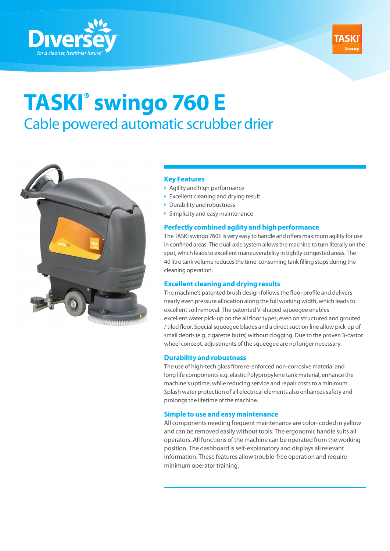



# **TASKI® swingo 760 E**  Cable powered automatic scrubber drier



### **Key Features**

- Agility and high performance
- $\triangleright$  Excellent cleaning and drying result
- ▶ Durability and robustness
- $\triangleright$  Simplicity and easy maintenance

### **Perfectly combined agility and high performance**

The TASKI swingo 760E is very easy to handle and offers maximum agility for use in confined areas. The dual-axle system allows the machine to turn literally on the spot, which leads to excellent maneuverability in tightly congested areas. The 40 litre tank volume reduces the time-consuming tank filling stops during the cleaning operation.

### **Excellent cleaning and drying results**

The machine's patented brush design follows the floor profile and delivers nearly even pressure allocation along the full working width, which leads to excellent soil removal. The patented V-shaped squeegee enables excellent water pick-up on the all floor types, even on structured and grouted / tiled floor. Special squeegee blades and a direct suction line allow pick-up of small debris (e.g. cigarette butts) without clogging. Due to the proven 3-castor wheel concept, adjustments of the squeegee are no longer necessary.

#### **Durability and robustness**

The use of high-tech glass fibre re-enforced non-corrosive material and long life components e.g. elastic Polypropylene tank material, enhance the machine's uptime, while reducing service and repair costs to a minimum. Splash water protection of all electrical elements also enhances safety and prolongs the lifetime of the machine.

### **Simple to use and easy maintenance**

All components needing frequent maintenance are color- coded in yellow and can be removed easily without tools. The ergonomic handle suits all operators. All functions of the machine can be operated from the working position. The dashboard is self-explanatory and displays all relevant information. These features allow trouble-free operation and require minimum operator training.